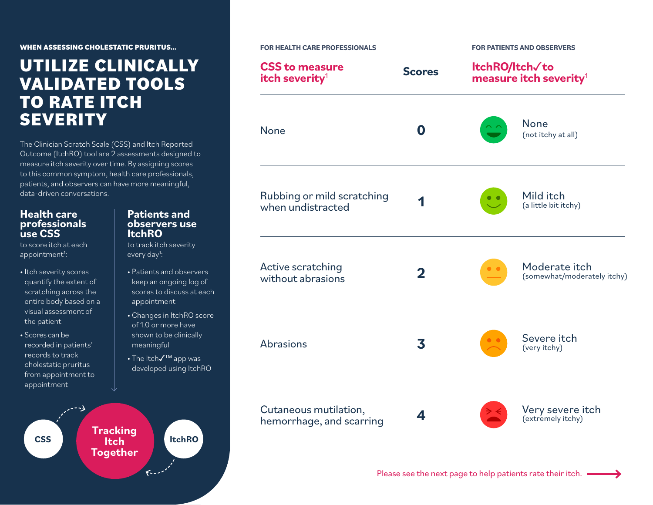**WHEN ASSESSING CHOLESTATIC PRURITUS…**

## **UTILIZE CLINICALLY VALIDATED TOOLS TO RATE ITCH SEVERITY**

The Clinician Scratch Scale (CSS) and Itch Reported Outcome (ItchRO) tool are 2 assessments designed to measure itch severity over time. By assigning scores to this common symptom, health care professionals, patients, and observers can have more meaningful, data-driven conversations.

### **Health care professionals use CSS**

to score itch at each appointment<sup>1</sup>:

- Itch severity scores quantify the extent of scratching across the entire body based on a visual assessment of the patient
- Scores can be recorded in patients' records to track cholestatic pruritus from appointment to appointment

#### **Patients and observers use ItchRO**

to track itch severity every day<sup>1</sup>:

- Patients and observers keep an ongoing log of scores to discuss at each appointment
- Changes in ItchRO score of 1.0 or more have shown to be clinically meaningful
- The Itch√™ app was developed using ItchRO